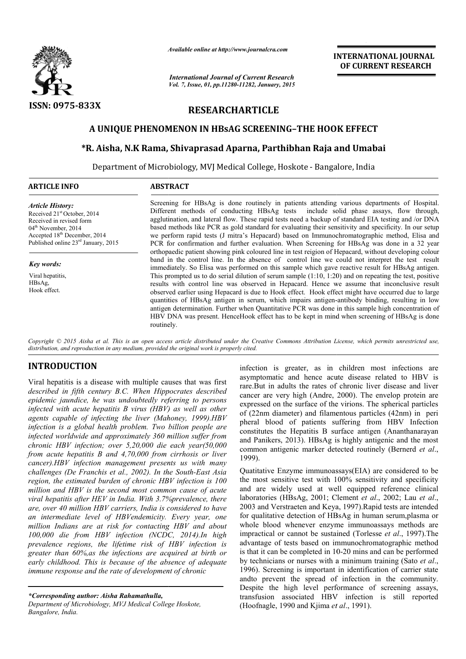

*Available online at http://www.journal http://www.journalcra.com*

*International Journal of Current Research Vol. 7, Issue, 01, pp.11280-11282, January, 2015* **INTERNATIONAL JOURNAL OF CURRENT RESEARCH** 

# **RESEARCHARTICLE**

## **A UNIQUE PHENOMENON IN HBsAG SCREENING–THE HOOK EFFECT THE HOOK EFFECT**

## **\*R. Aisha, N.K Rama, Shivaprasad Aparna, Parthibhan Raja and Umabai**

Department of Microbiology, MVJ Medical College, Hoskote - Bangalore, India

| <b>ARTICLE INFO</b> |  |
|---------------------|--|
|---------------------|--|

### **ABSTRACT**

*Article History:* Received 21st October, 2014 Received in revised form 04<sup>th</sup> November, 2014 Accepted 18<sup>th</sup> December, 2014 Published online 23rd January, 2015

*Key words:*

Viral hepatitis, HBsAg, Hook effect.

Screening for HBsAg is done routinely in patients attending various departments of Hospital. Different methods of conducting HBsAg tests include solid phase assays, flow through, agglutination, and lateral flow. These rapid tests need a backup of standard EIA testing and /or DNA based methods like PCR as gold standard for evaluating their sensitivity and specificity. In our setup we perform rapid tests (J mitra's Hepacard) based on Immunochromatographic method, Elisa and PCR for confirmation and further evaluation. When Screening for HBsAg was done in a 32 year orthopaedic patient showing pink coloured line in test reigion of Hepacard, without developing colour band in the control line. I In the absence of control line we could not interpret the test result immediately. So Elisa was performed on this sample which gave reactive result for HBsAg antigen. immediately. So Elisa was performed on this sample which gave reactive result for HBsAg antigen.<br>This prompted us to do serial dilution of serum sample (1:10, 1:20) and on repeating the test, positive results with control line was observed in Hepacard. Hence we assume that inconclusive result observed earlier using Hepacard is due to Hook effect. Hook effect might have occurred due to large quantities of HBsAg antigen in serum, which impairs antigenantigen determination. Further when Quantitative PCR was done in this sample high concentration of HBV DNA was present. HenceHook effect has to be kept in mind when screening of HBsAg is done routinely. control line was observed in Hepacard. Hence we assume that inconclusive result<br>ier using Hepacard is due to Hook effect. Hook effect might have occurred due to large<br>HBsAg antigen in serum, which impairs antigen-antibody

Copyright © 2015 Aisha et al. This is an open access article distributed under the Creative Commons Attribution License, which permits unrestricted use, *distribution, and reproduction in any medium, provided the original work is properly cited.*

# **INTRODUCTION**

Viral hepatitis is a disease with multiple causes that was first *described in fifth century B.C. When Hippocrates described epidemic jaundice, he was undoubtedly referring to persons infected with acute hepatitis B virus (HBV) as well as other agents capable of infecting the liver (Mahoney, 1999) 1999).HBV infection is a global health problem. Two billion people are infected worldwide and approximately 360 million suffer from chronic HBV infection; over 5,20,000 die each year(50,000 from acute hepatitis B and 4,70,000 from cirrhosis or liver cancer).HBV infection management presents us with many challenges (De Franchis et al., 2002). In the South region, the estimated burden of chronic HBV infection is 100 million and HBV is the second most common cause of acute viral hepatitis after HEV in India. With 3.7%prevalence, there are, over 40 million HBV carriers, India is considered to have an intermediate level of HBVendemicity. Every year, one million Indians are at risk for contacting HBV and about 100,000 die from HBV infection (NCDC, 2014) 2014).In high prevalence regions, the lifetime risk of HBV infection is*  greater than 60%, as the infections are acquired at birth or early childhood. This is because of the absence of adequate *immune response and the rate of development of chronic 70,000 from cirrhosis or liver*<br>ement presents us with many<br>, 2002). In the South-East Asia

infection is greater, as in childr n children most infections are asymptomatic and hence acute disease related to HBV is rare.But in adults the rates of chronic liver disease and liver asymptomatic and hence acute disease related to HBV is rare.<br>But in adults the rates of chronic liver disease and liver cancer are very high (Andre, 2000). The envelop protein are expressed on the surface of the virions. The spherical particles of (22nm diameter) and filamentous particles (42nm) in peri pheral blood of patients suffering from HBV Infection constitutes the Hepatitis B surface antigen (Ananthanarayan and Panikers, 2013). HBsAg is highly antigenic and the most common antigenic marker detected routinely (Bernerd *et al.*, 1999).

Quatitative Enzyme immunoassays(EIA) are considered to be the most sensitive test with 100% sensitivity and specificity and are widely used at well equipped reference clinical laboratories (HBsAg, 2001; Clement *et al*., 2002; Lau *et al*., 2003 and Verstraeten and Keya, 1997 1997).Rapid tests are intended for qualitative detection of HBsAg in human serum, plasma or whole blood whenever enzyme immunoassays methods are impractical or cannot be sustained (Torlesse *et al*., 1997).The advantage of tests based on immunochromatographic method advantage of tests based on immunochromatographic method is that it can be completed in 10-20 mins and can be performed by technicians or nurses with a minimum training (Sato *et al.*, 1996). Screening is important in identification of carrier state andto prevent the spread of infection in the community. Despite the high level performance of screening assays, andto prevent the spread of infection in the community.<br>Despite the high level performance of screening assays,<br>transfusion associated HBV infection is still reported (Hoofnagle, 1990 and Kjima *et al* ., 1991). itative Enzyme immunoassays(EIA) are considered to be nost sensitive test with 100% sensitivity and specificity are widely used at well equipped reference clinical

*<sup>\*</sup>Corresponding author: Aisha Rahamathulla,*

*Department of Microbiology, MVJ Medical College Hoskote, Bangalore, India.*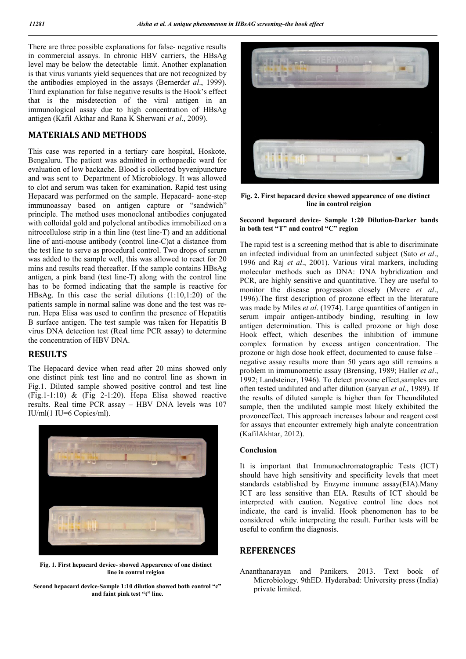There are three possible explanations for false- negative results in commercial assays. In chronic HBV carriers, the HBsAg level may be below the detectable limit. Another explanation is that virus variants yield sequences that are not recognized by the antibodies employed in the assays (Bernerd*et al*., 1999). Third explanation for false negative results is the Hook's effect that is the misdetection of the viral antigen in an immunological assay due to high concentration of HBsAg antigen (Kafil Akthar and Rana K Sherwani *et al*., 2009).

### **MATERIALS AND METHODS**

This case was reported in a tertiary care hospital, Hoskote, Bengaluru. The patient was admitted in orthopaedic ward for evaluation of low backache. Blood is collected byvenipuncture and was sent to Department of Microbiology. It was allowed to clot and serum was taken for examination. Rapid test using Hepacard was performed on the sample. Hepacard- aone-step immunoassay based on antigen capture or "sandwich" principle. The method uses monoclonal antibodies conjugated with colloidal gold and polyclonal antibodies immobilized on a nitrocellulose strip in a thin line (test line-T) and an additional line of anti-mouse antibody (control line-C)at a distance from the test line to serve as procedural control. Two drops of serum was added to the sample well, this was allowed to react for 20 mins and results read thereafter. If the sample contains HBsAg antigen, a pink band (test line-T) along with the control line has to be formed indicating that the sample is reactive for HBsAg. In this case the serial dilutions (1:10,1:20) of the patients sample in normal saline was done and the test was rerun. Hepa Elisa was used to confirm the presence of Hepatitis B surface antigen. The test sample was taken for Hepatitis B virus DNA detection test (Real time PCR assay) to determine the concentration of HBV DNA.

## **RESULTS**

The Hepacard device when read after 20 mins showed only one distinct pink test line and no control line as shown in Fig.1. Diluted sample showed positive control and test line (Fig.1-1:10)  $\&$  (Fig 2-1:20). Hepa Elisa showed reactive results. Real time PCR assay – HBV DNA levels was 107 IU/ml(1 IU=6 Copies/ml).



**Fig. 1. First hepacard device- showed Appearence of one distinct line in control reigion** 

**Second hepacard device-Sample 1:10 dilution showed both control "c" and faint pink test "t" line.**



**Fig. 2. First hepacard device showed appearence of one distinct line in control reigion**

**Seccond hepacard device- Sample 1:20 Dilution-Darker bands in both test "T" and control "C" region**

The rapid test is a screening method that is able to discriminate an infected individual from an uninfected subject (Sato *et al*., 1996 and Raj *et al*., 2001). Various viral markers, including molecular methods such as DNA: DNA hybridization and PCR, are highly sensitive and quantitative. They are useful to monitor the disease progression closely (Mvere *et al*., 1996).The first description of prozone effect in the literature was made by Miles *et al*. (1974). Large quantities of antigen in serum impair antigen-antibody binding, resulting in low antigen determination. This is called prozone or high dose Hook effect, which describes the inhibition of immune complex formation by excess antigen concentration. The prozone or high dose hook effect, documented to cause false – negative assay results more than 50 years ago still remains a problem in immunometric assay (Brensing, 1989; Haller *et al*., 1992; Landsteiner, 1946). To detect prozone effect,samples are often tested undiluted and after dilution (saryan *et al*., 1989). If the results of diluted sample is higher than for Theundiluted sample, then the undiluted sample most likely exhibited the prozoneeffect. This approach increases labour and reagent cost for assays that encounter extremely high analyte concentration (KafilAkhtar, 2012).

#### **Conclusion**

It is important that Immunochromatographic Tests (ICT) should have high sensitivity and specificity levels that meet standards established by Enzyme immune assay(EIA).Many ICT are less sensitive than EIA. Results of ICT should be interpreted with caution. Negative control line does not indicate, the card is invalid. Hook phenomenon has to be considered while interpreting the result. Further tests will be useful to confirm the diagnosis.

#### **REFERENCES**

Ananthanarayan and Panikers. 2013. Text book of Microbiology. 9thED. Hyderabad: University press (India) private limited.